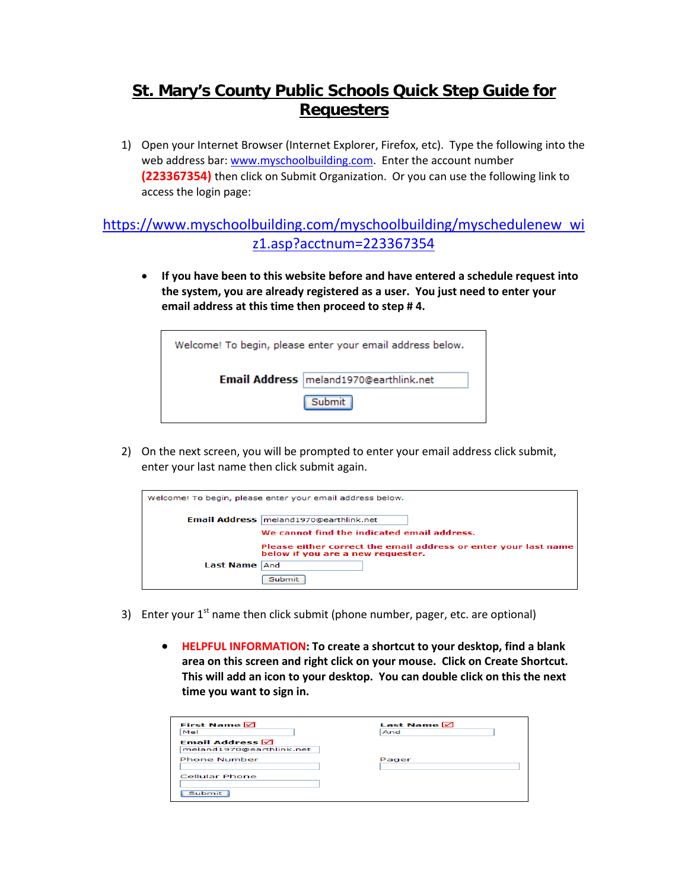## **St. Mary's County Public Schools Quick Step Guide for Requesters**

1) Open your Internet Browser (Internet Explorer, Firefox, etc). Type the following into the web address bar: [www.myschoolbuilding.com.](http://www.myschoolbuilding.com/) Enter the account number **(223367354)** then click on Submit Organization. Or you can use the following link to access the login page:

## [https://www.myschoolbuilding.com/myschoolbuilding/myschedulenew\\_wi](https://www.myschoolbuilding.com/myschoolbuilding/myschedulenew_wiz1.asp?acctnum=223367354) [z1.asp?acctnum=223367354](https://www.myschoolbuilding.com/myschoolbuilding/myschedulenew_wiz1.asp?acctnum=223367354)

• **If you have been to this website before and have entered a schedule request into the system, you are already registered as a user. You just need to enter your email address at this time then proceed to step # 4.**



2) On the next screen, you will be prompted to enter your email address click submit, enter your last name then click submit again.

|           | Welcome! To begin, please enter your email address below.                                            |
|-----------|------------------------------------------------------------------------------------------------------|
|           | Email Address   meland1970@earthlink.net                                                             |
|           | We cannot find the indicated email address.                                                          |
|           | Please either correct the email address or enter your last name<br>below if you are a new requester. |
| Last Name | And                                                                                                  |
|           | Submit                                                                                               |

- 3) Enter your  $1<sup>st</sup>$  name then click submit (phone number, pager, etc. are optional)
	- **HELPFUL INFORMATION: To create a shortcut to your desktop, find a blank area on this screen and right click on your mouse. Click on Create Shortcut. This will add an icon to your desktop. You can double click on this the next time you want to sign in.**

| <b>First Name <math>\boxdot</math></b> | <b>Last Name <math>\boxdot</math></b> |
|----------------------------------------|---------------------------------------|
| Mel                                    | And                                   |
| <b>Email Address</b> $\boxdot$         |                                       |
| meland1970@earthlink.net               |                                       |
| <b>Phone Number</b>                    | Pager                                 |
|                                        |                                       |
| Cellular Phone                         |                                       |
|                                        |                                       |
| <b>Submit</b>                          |                                       |
|                                        |                                       |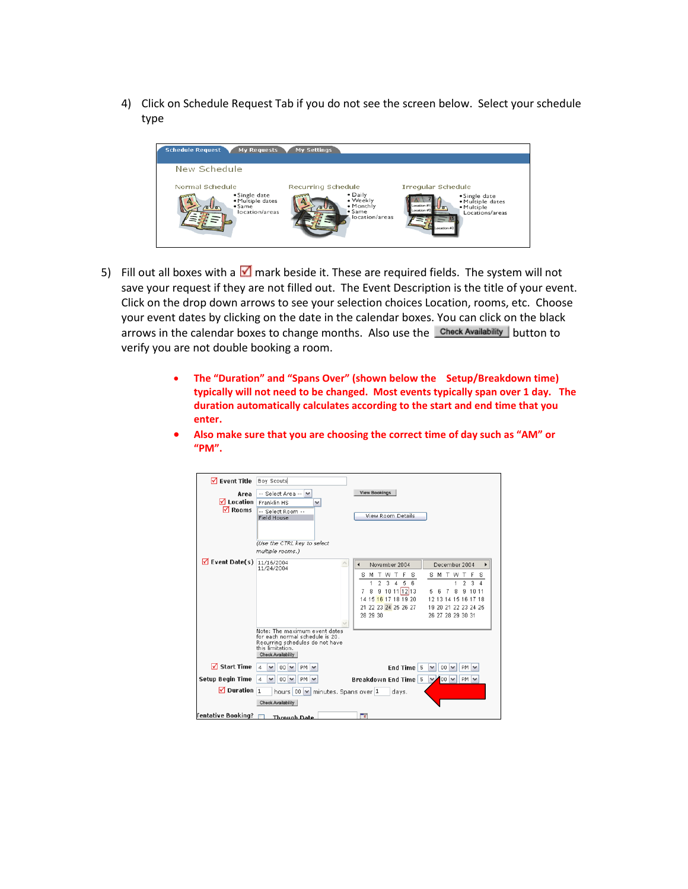4) Click on Schedule Request Tab if you do not see the screen below. Select your schedule type



- 5) Fill out all boxes with a  $\blacksquare$  mark beside it. These are required fields. The system will not save your request if they are not filled out. The Event Description is the title of your event. Click on the drop down arrows to see your selection choices Location, rooms, etc. Choose your event dates by clicking on the date in the calendar boxes. You can click on the black arrows in the calendar boxes to change months. Also use the Check Availability button to verify you are not double booking a room.
	- **The "Duration" and "Spans Over" (shown below the Setup/Breakdown time) typically will not need to be changed. Most events typically span over 1 day. The duration automatically calculates according to the start and end time that you enter.**
	- **Also make sure that you are choosing the correct time of day such as "AM" or "PM".**

| $\nabla$ Event Title                 | Boy Scouts                                                         |                                                                                           |
|--------------------------------------|--------------------------------------------------------------------|-------------------------------------------------------------------------------------------|
| Area                                 | -- Select Area -- V                                                | <b>View Bookings</b>                                                                      |
| <b>√</b> Location                    | Franklin HS<br>٧                                                   |                                                                                           |
| $\nabla$ Rooms                       | -- Select Room --                                                  | View Room Details                                                                         |
|                                      | <b>Field House</b>                                                 |                                                                                           |
|                                      |                                                                    |                                                                                           |
|                                      | (Use the CTRL key to select                                        |                                                                                           |
|                                      | multiple rooms.)                                                   |                                                                                           |
| $\sqrt{}$ Event Date(s) $11/16/2004$ |                                                                    | November 2004<br>December 2004                                                            |
|                                      | 11/24/2004                                                         | M T W T<br>T.<br>W T<br>s<br>s<br>s<br>F<br>s                                             |
|                                      |                                                                    | $\overline{2}$<br>$\overline{3}$<br>6<br>$\sqrt{4}$<br>5<br>$\overline{2}$<br>3<br>4<br>1 |
|                                      |                                                                    | 9 10 11 12 13<br>8<br>8<br>9 10 11<br>6<br>-7<br>7                                        |
|                                      |                                                                    | 15 16 17 18 19 20<br>12 13 14 15 16 17 18<br>14                                           |
|                                      |                                                                    | 21 22 23 24 25 26 27<br>19 20 21 22 23 24 25                                              |
|                                      |                                                                    | 28 29 30<br>26 27 28 29 30 31                                                             |
|                                      | Note: The maximum event dates                                      |                                                                                           |
|                                      | for each normal schedule is 20.<br>Recurring schedules do not have |                                                                                           |
|                                      | this limitation.                                                   |                                                                                           |
|                                      | <b>Check Availability</b>                                          |                                                                                           |
| <b>⊽</b> Start Time                  | 00<br>$\overline{a}$<br>PM                                         | End Time <sup>5</sup><br>$00$ $\vee$<br>PM<br>v                                           |
| <b>Setup Begin Time</b>              | $00 \times$<br>$PM$ $\vee$<br>$\overline{a}$<br>v                  | <b>Breakdown End Time 5</b><br>$\vee$ 100 $\vee$<br>$PM$ $\vee$                           |
| $\Box$ Duration 1                    | hours 00 M minutes. Spans over 1                                   | days.                                                                                     |
|                                      | <b>Check Availability</b>                                          |                                                                                           |
| Fentative Booking?                   | <b>Through Date</b>                                                | ٦.                                                                                        |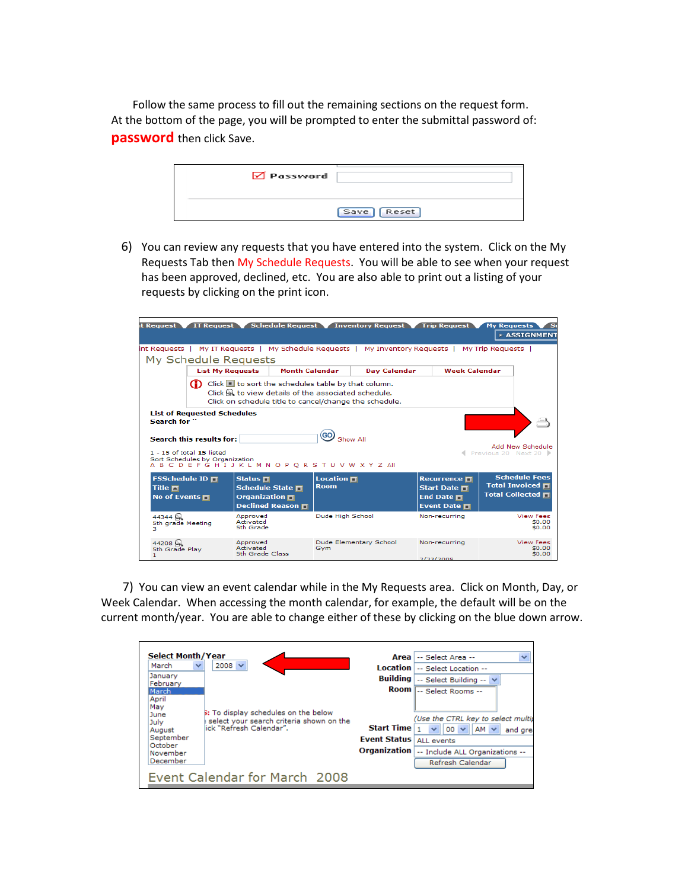Follow the same process to fill out the remaining sections on the request form. At the bottom of the page, you will be prompted to enter the submittal password of: **password** then click Save.

| $\sqrt{ }$ Password |            |  |
|---------------------|------------|--|
|                     | Save Reset |  |
|                     |            |  |

6) You can review any requests that you have entered into the system. Click on the My Requests Tab then My Schedule Requests. You will be able to see when your request has been approved, declined, etc. You are also able to print out a listing of your requests by clicking on the print icon.

| it Request                                                                                      | <b>IT Request</b>                                                                                                                                                                                                                                                                                                                                                                                                                                               |                                                                                                                   |                       |                                | Schedule Request Inventory Request |           | <b>Trip Request</b>                                                                                      | <b>My Requests</b> | <b>EXASSIGNMENT</b>                                                         |
|-------------------------------------------------------------------------------------------------|-----------------------------------------------------------------------------------------------------------------------------------------------------------------------------------------------------------------------------------------------------------------------------------------------------------------------------------------------------------------------------------------------------------------------------------------------------------------|-------------------------------------------------------------------------------------------------------------------|-----------------------|--------------------------------|------------------------------------|-----------|----------------------------------------------------------------------------------------------------------|--------------------|-----------------------------------------------------------------------------|
| int Requests   My IT Requests   My Schedule Requests   My Inventory Requests   My Trip Requests |                                                                                                                                                                                                                                                                                                                                                                                                                                                                 |                                                                                                                   |                       |                                |                                    |           |                                                                                                          |                    |                                                                             |
| My Schedule Requests                                                                            |                                                                                                                                                                                                                                                                                                                                                                                                                                                                 |                                                                                                                   |                       |                                |                                    |           |                                                                                                          |                    |                                                                             |
|                                                                                                 | <b>List My Requests</b>                                                                                                                                                                                                                                                                                                                                                                                                                                         |                                                                                                                   | <b>Month Calendar</b> |                                | <b>Dav Calendar</b>                |           | <b>Week Calendar</b>                                                                                     |                    |                                                                             |
|                                                                                                 | Click $\blacksquare$ to sort the schedules table by that column.<br>o<br>Click R to view details of the associated schedule.<br>Click on schedule title to cancel/change the schedule.<br><b>List of Requested Schedules</b><br>Search for "<br>Show All<br>Search this results for:<br>Add New Schedule<br>$1 - 15$ of total $15$ listed<br>Previous 20 Next 20 ▶<br>Sort Schedules by Organization<br>A B C D E F G H I J K L M N O P O R S T U V W X Y Z All |                                                                                                                   |                       |                                |                                    |           |                                                                                                          |                    |                                                                             |
| FSSchedule ID 口<br>Title $\blacksquare$<br>No of Events $\blacksquare$                          |                                                                                                                                                                                                                                                                                                                                                                                                                                                                 | Status $\blacksquare$<br>Schedule State $\blacksquare$<br>Organization $\blacksquare$<br>Declined Reason <b>H</b> |                       | <b>Location</b><br><b>Room</b> |                                    |           | Recurrence $\blacksquare$<br><b>Start Date □</b><br>End Date $\blacksquare$<br>Event Date $\blacksquare$ |                    | <b>Schedule Fees</b><br><b>Total Invoiced T</b><br>Total Collected <b>T</b> |
| 44344<br>5th grade Meeting<br>з                                                                 |                                                                                                                                                                                                                                                                                                                                                                                                                                                                 | Approved<br>Activated<br>5th Grade                                                                                |                       | Dude High School               |                                    |           | Non-recurring                                                                                            |                    | <b>View Fees</b><br>\$0.00<br>\$0.00                                        |
| 44208<br>5th Grade Play<br>п.                                                                   |                                                                                                                                                                                                                                                                                                                                                                                                                                                                 | Approved<br>Activated<br>5th Grade Class                                                                          |                       | Gvm                            | Dude Elementary School             | 2/23/2008 | Non-recurring                                                                                            |                    | <b>View Fees</b><br>\$0.00<br>\$0.00                                        |

 7) You can view an event calendar while in the My Requests area. Click on Month, Day, or Week Calendar. When accessing the month calendar, for example, the default will be on the current month/year. You are able to change either of these by clicking on the blue down arrow.

| <b>Select Month/Year</b><br>March<br>$\checkmark$ | $2008 \vee$                                                                                                         |                                  | $\checkmark$<br>Area -- Select Area --<br>Location   -- Select Location --                              |
|---------------------------------------------------|---------------------------------------------------------------------------------------------------------------------|----------------------------------|---------------------------------------------------------------------------------------------------------|
| January<br>February                               |                                                                                                                     |                                  | <b>Building</b> $\vert$ -- Select Building -- $\vert \vee \vert$                                        |
| March<br>April<br>Mav<br>June<br>July<br>August   | <b>5:</b> To display schedules on the below<br>select your search criteria shown on the<br>lick "Refresh Calendar". | <b>Start Time</b>                | Room -- Select Rooms --<br>(Use the CTRL key to select multip<br>$ 00 $ $\vee$<br>$AM \vee$<br>and grea |
| September<br>October<br>November                  |                                                                                                                     | <b>Fvent Status   ALL events</b> | Organization   -- Include ALL Organizations --                                                          |
| December                                          |                                                                                                                     |                                  | Refresh Calendar                                                                                        |